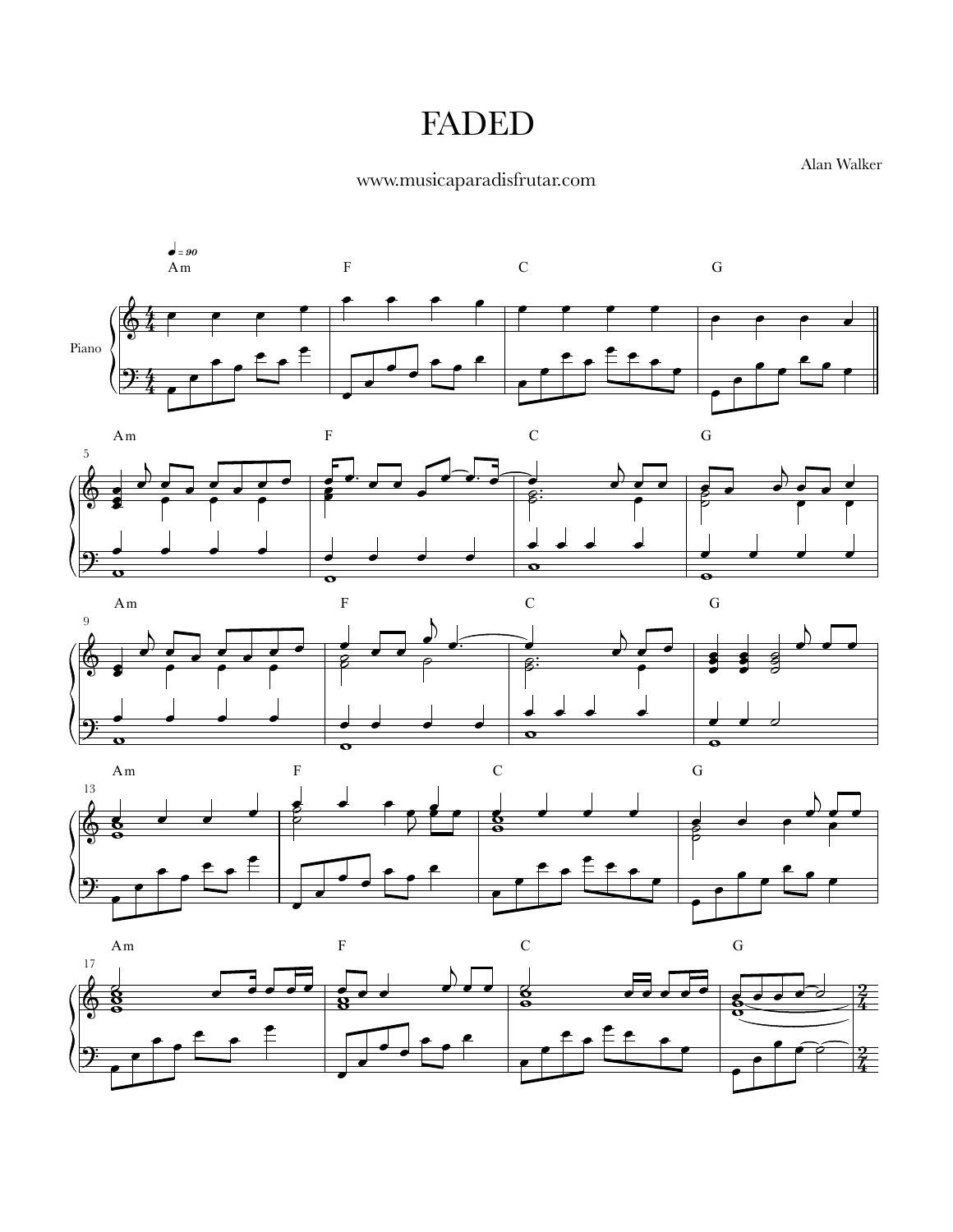## **FADED**

## www.musicaparadisfrutar.com

Alan Walker



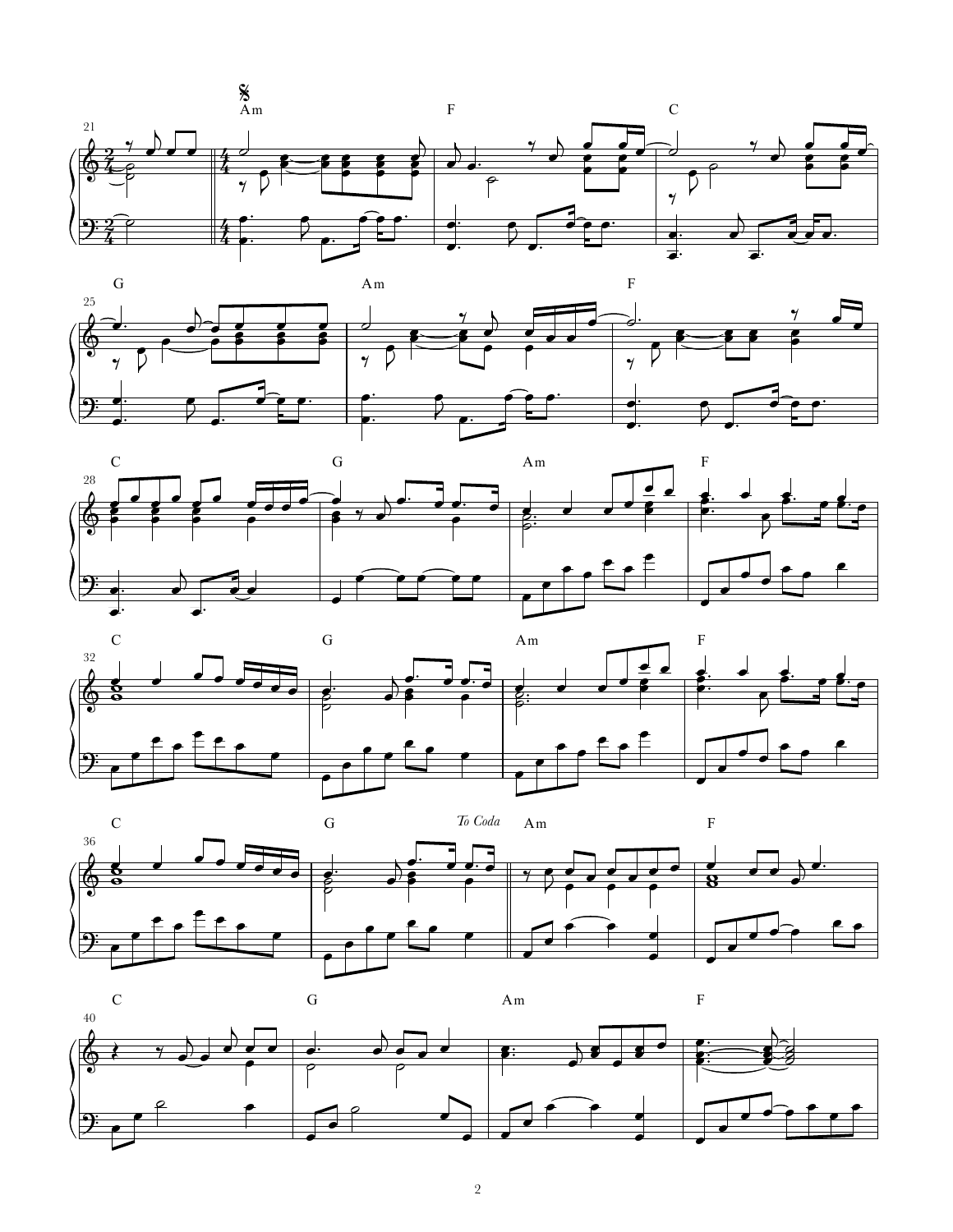